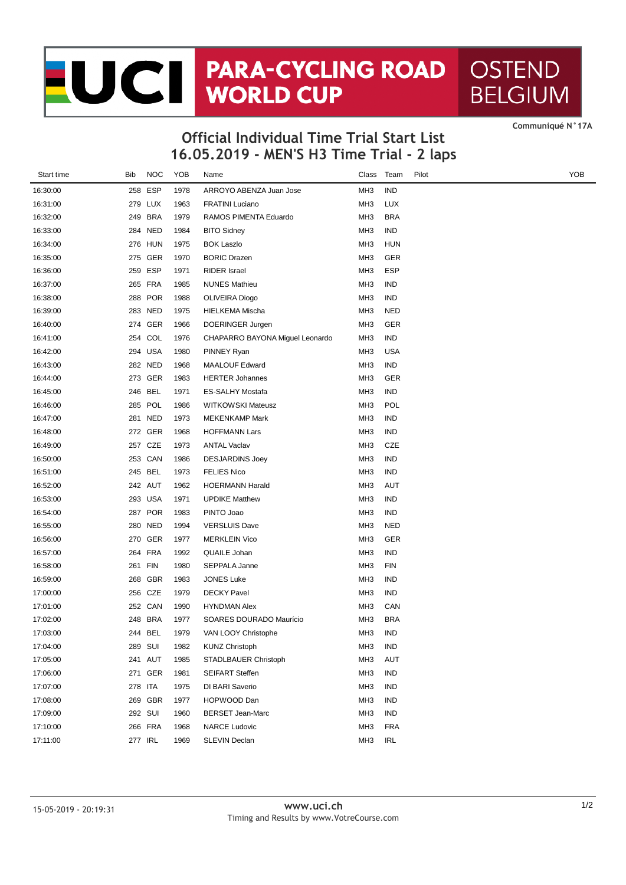## JC PARA-CYCLING ROAD **OSTEND BELGIUM**

**16.05.2019 - MEN'S H3 Time Trial - 2 laps Official Individual Time Trial Start List**

**CommuniquÈ N°17A**

| Start time | Bib | <b>NOC</b> | YOB  | Name                            | Class           | Team       | Pilot | YOE |
|------------|-----|------------|------|---------------------------------|-----------------|------------|-------|-----|
| 16:30:00   |     | 258 ESP    | 1978 | ARROYO ABENZA Juan Jose         | MH <sub>3</sub> | IND        |       |     |
| 16:31:00   |     | 279 LUX    | 1963 | <b>FRATINI Luciano</b>          | MH <sub>3</sub> | LUX        |       |     |
| 16:32:00   |     | 249 BRA    | 1979 | RAMOS PIMENTA Eduardo           | MH3             | <b>BRA</b> |       |     |
| 16:33:00   |     | 284 NED    | 1984 | <b>BITO Sidney</b>              | MH <sub>3</sub> | <b>IND</b> |       |     |
| 16:34:00   |     | 276 HUN    | 1975 | <b>BOK Laszlo</b>               | MH <sub>3</sub> | <b>HUN</b> |       |     |
| 16:35:00   |     | 275 GER    | 1970 | <b>BORIC Drazen</b>             | MH <sub>3</sub> | GER        |       |     |
| 16:36:00   |     | 259 ESP    | 1971 | <b>RIDER</b> Israel             | MH3             | ESP        |       |     |
| 16:37:00   |     | 265 FRA    | 1985 | <b>NUNES Mathieu</b>            | MH <sub>3</sub> | <b>IND</b> |       |     |
| 16:38:00   |     | 288 POR    | 1988 | OLIVEIRA Diogo                  | MH <sub>3</sub> | IND        |       |     |
| 16:39:00   |     | 283 NED    | 1975 | HIELKEMA Mischa                 | MH <sub>3</sub> | NED        |       |     |
| 16:40:00   |     | 274 GER    | 1966 | DOERINGER Jurgen                | MH <sub>3</sub> | GER        |       |     |
| 16:41:00   |     | 254 COL    | 1976 | CHAPARRO BAYONA Miguel Leonardo | MH <sub>3</sub> | <b>IND</b> |       |     |
| 16:42:00   |     | 294 USA    | 1980 | PINNEY Ryan                     | MH <sub>3</sub> | USA        |       |     |
| 16:43:00   |     | 282 NED    | 1968 | <b>MAALOUF Edward</b>           | MH <sub>3</sub> | <b>IND</b> |       |     |
| 16:44:00   |     | 273 GER    | 1983 | <b>HERTER Johannes</b>          | MH <sub>3</sub> | GER        |       |     |
| 16:45:00   |     | 246 BEL    | 1971 | ES-SALHY Mostafa                | MH <sub>3</sub> | IND        |       |     |
| 16:46:00   |     | 285 POL    | 1986 | <b>WITKOWSKI Mateusz</b>        | MH <sub>3</sub> | POL        |       |     |
| 16:47:00   |     | 281 NED    | 1973 | <b>MEKENKAMP Mark</b>           | MH <sub>3</sub> | IND        |       |     |
| 16:48:00   |     | 272 GER    | 1968 | <b>HOFFMANN Lars</b>            | MH <sub>3</sub> | IND        |       |     |
| 16:49:00   |     | 257 CZE    | 1973 | <b>ANTAL Vaclav</b>             | MH <sub>3</sub> | CZE        |       |     |
| 16:50:00   |     | 253 CAN    | 1986 | <b>DESJARDINS Joey</b>          | MH <sub>3</sub> | <b>IND</b> |       |     |
| 16:51:00   |     | 245 BEL    | 1973 | <b>FELIES Nico</b>              | MH <sub>3</sub> | <b>IND</b> |       |     |
| 16:52:00   |     | 242 AUT    | 1962 | <b>HOERMANN Harald</b>          | MH <sub>3</sub> | AUT        |       |     |
| 16:53:00   |     | 293 USA    | 1971 | <b>UPDIKE Matthew</b>           | MH <sub>3</sub> | IND        |       |     |
| 16:54:00   |     | 287 POR    | 1983 | PINTO Joao                      | MH <sub>3</sub> | IND        |       |     |
| 16:55:00   |     | 280 NED    | 1994 | <b>VERSLUIS Dave</b>            | MH <sub>3</sub> | NED        |       |     |
| 16:56:00   |     | 270 GER    | 1977 | <b>MERKLEIN Vico</b>            | MH <sub>3</sub> | GER        |       |     |
| 16:57:00   |     | 264 FRA    | 1992 | QUAILE Johan                    | MH <sub>3</sub> | <b>IND</b> |       |     |
| 16:58:00   |     | 261 FIN    | 1980 | SEPPALA Janne                   | MH <sub>3</sub> | <b>FIN</b> |       |     |
| 16:59:00   |     | 268 GBR    | 1983 | JONES Luke                      | MH <sub>3</sub> | IND        |       |     |
| 17:00:00   |     | 256 CZE    | 1979 | <b>DECKY Pavel</b>              | MH <sub>3</sub> | IND        |       |     |
| 17:01:00   |     | 252 CAN    | 1990 | <b>HYNDMAN Alex</b>             | MH <sub>3</sub> | CAN        |       |     |
| 17:02:00   |     | 248 BRA    | 1977 | SOARES DOURADO Maurício         | MH <sub>3</sub> | <b>BRA</b> |       |     |
| 17:03:00   |     | 244 BEL    | 1979 | VAN LOOY Christophe             | MH <sub>3</sub> | IND        |       |     |
| 17:04:00   |     | 289 SUI    | 1982 | <b>KUNZ Christoph</b>           | MH <sub>3</sub> | IND        |       |     |
| 17:05:00   |     | 241 AUT    | 1985 | STADLBAUER Christoph            | MH <sub>3</sub> | AUT        |       |     |
| 17:06:00   |     | 271 GER    | 1981 | <b>SEIFART Steffen</b>          | MH <sub>3</sub> | <b>IND</b> |       |     |
| 17:07:00   |     | 278 ITA    | 1975 | DI BARI Saverio                 | MH3             | IND        |       |     |
| 17:08:00   |     | 269 GBR    | 1977 | HOPWOOD Dan                     | MH <sub>3</sub> | IND        |       |     |
| 17:09:00   |     | 292 SUI    | 1960 | <b>BERSET Jean-Marc</b>         | MH <sub>3</sub> | IND        |       |     |
| 17:10:00   |     | 266 FRA    | 1968 | <b>NARCE Ludovic</b>            | MH <sub>3</sub> | <b>FRA</b> |       |     |
| 17:11:00   |     | 277 IRL    | 1969 | SLEVIN Declan                   | MH <sub>3</sub> | IRL        |       |     |